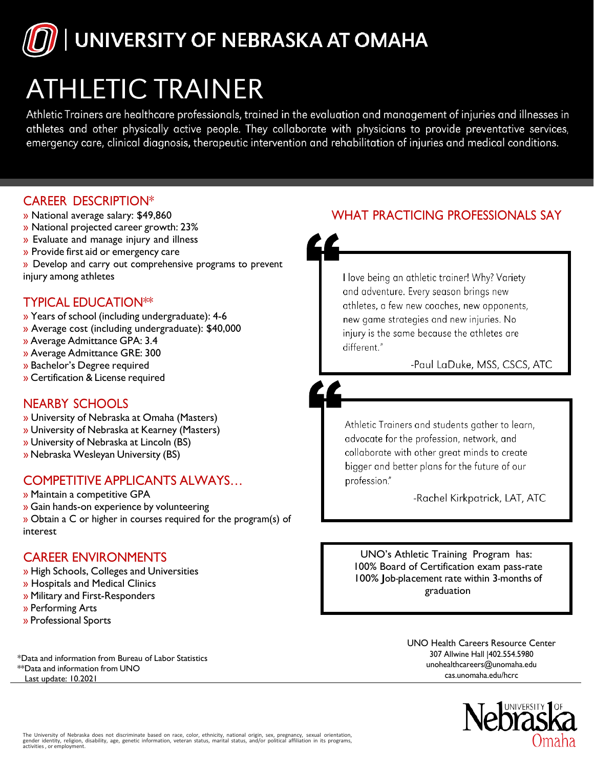# UNIVERSITY OF NEBRASKA AT OMAHA

## **ATHLETIC TRAINER**

Athletic Trainers are healthcare professionals, trained in the evaluation and management of injuries and illnesses in athletes and other physically active people. They collaborate with physicians to provide preventative services, emergency care, clinical diagnosis, therapeutic intervention and rehabilitation of injuries and medical conditions.

#### CAREER DESCRIPTION\*

- » National average salary: \$49,860
- » National projected career growth: 23%
- » Evaluate and manage injury and illness
- » Provide first aid or emergency care
- » Develop and carry out comprehensive programs to prevent injury among athletes

## TYPICAL EDUCATION\*\*

- » Years of school (including undergraduate): 4-6
- » Average cost (including undergraduate): \$40,000
- » Average Admittance GPA: 3.4
- » Average Admittance GRE: 300
- » Bachelor's Degree required
- » Certification & License required

### NEARBY SCHOOLS

- » University of Nebraska at Omaha (Masters)
- » University of Nebraska at Kearney (Masters)
- » University of Nebraska at Lincoln (BS)
- » Nebraska Wesleyan University (BS)

#### COMPETITIVE APPLICANTS ALWAYS…

- » Maintain a competitive GPA
- » Gain hands-on experience by volunteering
- » Obtain a C or higher in courses required for the program(s) of interest

### CAREER ENVIRONMENTS

- » High Schools, Colleges and Universities
- » Hospitals and Medical Clinics
- » Military and First-Responders
- » Performing Arts
- » Professional Sports

\*Data and information from Bureau of Labor Statistics \*\*Data and information from UNO cas.unomaha.edu/hcrc Last update: 10.2021

## WHAT PRACTICING PROFESSIONALS SAY



I love being an athletic trainer! Why? Variety and adventure. Every season brings new athletes, a few new coaches, new opponents, new game strategies and new injuries. No injury is the same because the athletes are different."

-Paul LaDuke, MSS, CSCS, ATC



Athletic Trainers and students gather to learn, advocate for the profession, network, and collaborate with other great minds to create bigger and better plans for the future of our profession."

-Rachel Kirkpatrick, LAT, ATC

UNO's Athletic Training Program has: 100% Board of Certification exam pass-rate 100% Job-placement rate within 3-months of graduation

> UNO Health Careers Resource Center [307 Allwine Hall |402.55](mailto:unohealthcareers@unomaha.edu)4.5980 [un](mailto:unohealthcareers@unomaha.edu)ohealthcareers@unomaha.edu